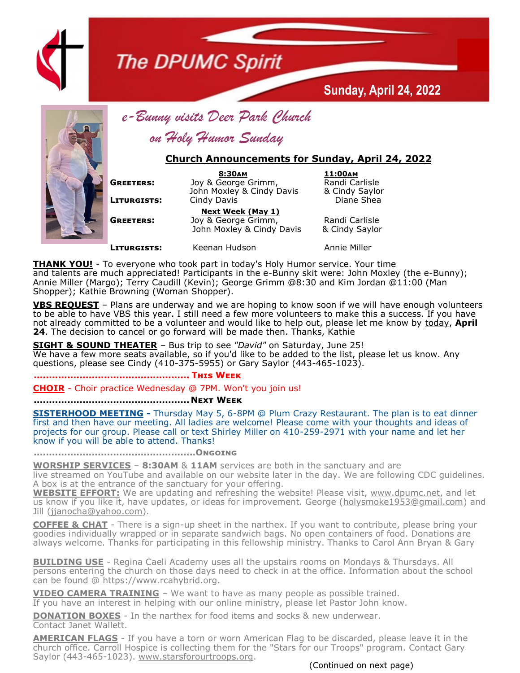

## **The DPUMC Spirit**



*e-Bunny visits Deer Park Church*

*on Holy Humor Sunday*

## **Church Announcements for Sunday, April 24, 2022**

 **8:30am 11:00am GREETERS:** Joy & George Grimm, Randi Carlisle John Moxley & Cindy Davis & Cindy Saylor **LITURGISTS:** Cindy Davis **Constanting Constanting Constanting Constanting Constanting Constanting Constanting Constanting Constanting Constanting Constanting Constanting Constanting Constanting Constanting Constanting Con** 

**Sunday, April 24, 2022**

 **Next Week (May 1) GREETERS:** Joy & George Grimm, Randi Carlisle John Moxley & Cindy Davis & Cindy Saylor

**LITURGISTS:** Keenan Hudson **Annie Miller** 

**THANK YOU!** - To everyone who took part in today's Holy Humor service. Your time and talents are much appreciated! Participants in the e-Bunny skit were: John Moxley (the e-Bunny); Annie Miller (Margo); Terry Caudill (Kevin); George Grimm @8:30 and Kim Jordan @11:00 (Man Shopper); Kathie Browning (Woman Shopper).

**VBS REQUEST** – Plans are underway and we are hoping to know soon if we will have enough volunteers to be able to have VBS this year. I still need a few more volunteers to make this a success. If you have not already committed to be a volunteer and would like to help out, please let me know by today, **April 24**. The decision to cancel or go forward will be made then. Thanks, Kathie

**SIGHT & SOUND THEATER** – Bus trip to see *"David"* on Saturday, June 25! We have a few more seats available, so if you'd like to be added to the list, please let us know. Any questions, please see Cindy (410-375-5955) or Gary Saylor (443-465-1023).

**................................................... This Week**

**CHOIR** - Choir practice Wednesday @ 7PM. Won't you join us!

## **................................................... Next Week**

**SISTERHOOD MEETING -** Thursday May 5, 6-8PM @ Plum Crazy Restaurant. The plan is to eat dinner first and then have our meeting. All ladies are welcome! Please come with your thoughts and ideas of projects for our group. Please call or text Shirley Miller on 410-259-2971 with your name and let her know if you will be able to attend. Thanks!

**.....................................................Ongoing**

**WORSHIP SERVICES** – **8:30AM** & **11AM** services are both in the sanctuary and are

live streamed on YouTube and available on our website later in the day. We are following CDC guidelines. A box is at the entrance of the sanctuary for your offering.

**WEBSITE EFFORT:** We are updating and refreshing the website! Please visit, [www.dpumc.net,](http://www.dpumc.net) and let us know if you like it, have updates, or ideas for improvement. George ([holysmoke1953@gmail.com\)](mailto:holysmokes1953@gmail.com) and Jill ([jjanocha@yahoo.com\)](mailto:jjanocha@yahoo.com).

**COFFEE & CHAT** - There is a sign-up sheet in the narthex. If you want to contribute, please bring your goodies individually wrapped or in separate sandwich bags. No open containers of food. Donations are always welcome. Thanks for participating in this fellowship ministry. Thanks to Carol Ann Bryan & Gary

**BUILDING USE** - Regina Caeli Academy uses all the upstairs rooms on Mondays & Thursdays. All persons entering the church on those days need to check in at the office. Information about the school can be found @ https://www.rcahybrid.org.

**VIDEO CAMERA TRAINING** – We want to have as many people as possible trained. If you have an interest in helping with our online ministry, please let Pastor John know.

**DONATION BOXES** - In the narthex for food items and socks & new underwear. Contact Janet Wallett.

**AMERICAN FLAGS** - If you have a torn or worn American Flag to be discarded, please leave it in the church office. Carroll Hospice is collecting them for the "Stars for our Troops" program. Contact Gary Saylor (443-465-1023). www.starsforourtroops.org.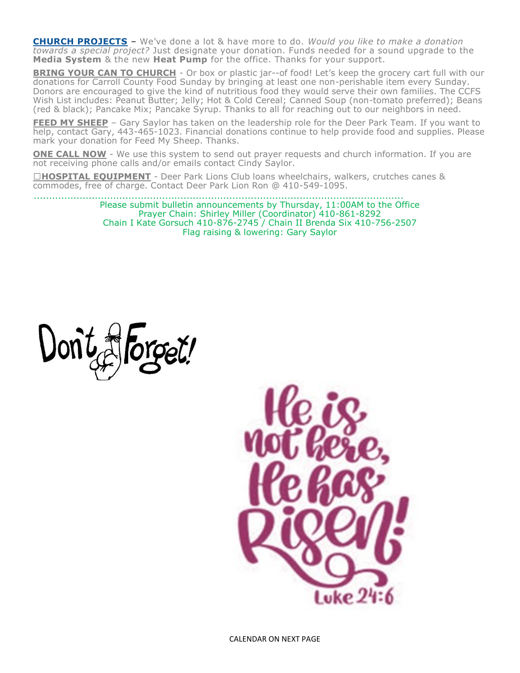**CHURCH PROJECTS** – We've done a lot & have more to do. *Would you like to make a donation towards a special project?* Just designate your donation. Funds needed for a sound upgrade to the **Media System** & the new **Heat Pump** for the office. Thanks for your support.

**BRING YOUR CAN TO CHURCH** - Or box or plastic jar--of food! Let's keep the grocery cart full with our donations for Carroll County Food Sunday by bringing at least one non-perishable item every Sunday. Donors are encouraged to give the kind of nutritious food they would serve their own families. The CCFS Wish List includes: Peanut Butter; Jelly; Hot & Cold Cereal; Canned Soup (non-tomato preferred); Beans (red & black); Pancake Mix; Pancake Syrup. Thanks to all for reaching out to our neighbors in need.

**FEED MY SHEEP** – Gary Saylor has taken on the leadership role for the Deer Park Team. If you want to help, contact Gary, 443-465-1023. Financial donations continue to help provide food and supplies. Please mark your donation for Feed My Sheep. Thanks.

**ONE CALL NOW** - We use this system to send out prayer requests and church information. If you are not receiving phone calls and/or emails contact Cindy Saylor.

□HOSPITAL EQUIPMENT - Deer Park Lions Club loans wheelchairs, walkers, crutches canes & commodes, free of charge. Contact Deer Park Lion Ron @ 410-549-1095.

> ......................................................................................................................... Please submit bulletin announcements by Thursday, 11:00AM to the Office Prayer Chain: Shirley Miller (Coordinator) 410-861-8292 Chain I Kate Gorsuch 410-876-2745 / Chain II Brenda Six 410-756-2507 Flag raising & lowering: Gary Saylor